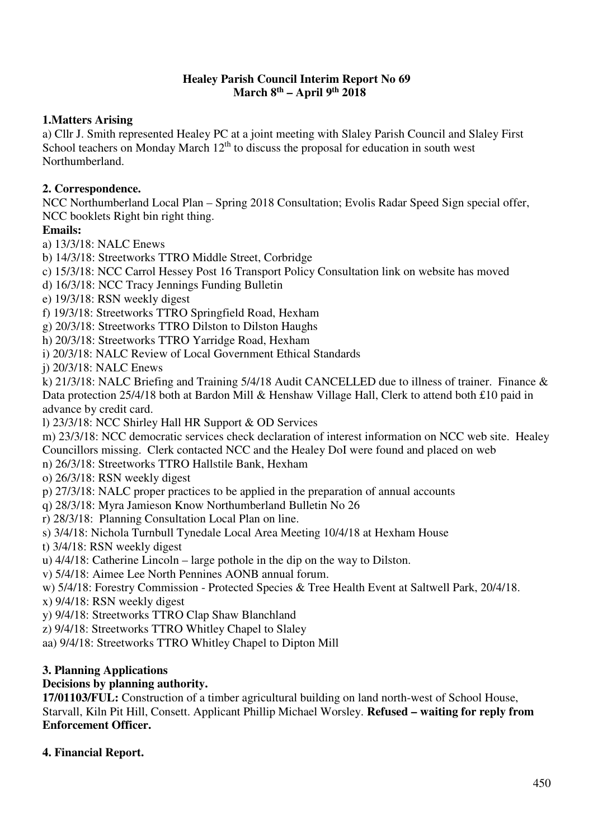#### **Healey Parish Council Interim Report No 69 March 8th – April 9th 2018**

# **1.Matters Arising**

a) Cllr J. Smith represented Healey PC at a joint meeting with Slaley Parish Council and Slaley First School teachers on Monday March  $12<sup>th</sup>$  to discuss the proposal for education in south west Northumberland.

## **2. Correspondence.**

NCC Northumberland Local Plan – Spring 2018 Consultation; Evolis Radar Speed Sign special offer, NCC booklets Right bin right thing.

## **Emails:**

a) 13/3/18: NALC Enews

b) 14/3/18: Streetworks TTRO Middle Street, Corbridge

c) 15/3/18: NCC Carrol Hessey Post 16 Transport Policy Consultation link on website has moved

d) 16/3/18: NCC Tracy Jennings Funding Bulletin

e) 19/3/18: RSN weekly digest

f) 19/3/18: Streetworks TTRO Springfield Road, Hexham

g) 20/3/18: Streetworks TTRO Dilston to Dilston Haughs

h) 20/3/18: Streetworks TTRO Yarridge Road, Hexham

i) 20/3/18: NALC Review of Local Government Ethical Standards

j) 20/3/18: NALC Enews

k) 21/3/18: NALC Briefing and Training 5/4/18 Audit CANCELLED due to illness of trainer. Finance & Data protection 25/4/18 both at Bardon Mill & Henshaw Village Hall, Clerk to attend both £10 paid in advance by credit card.

l) 23/3/18: NCC Shirley Hall HR Support & OD Services

m) 23/3/18: NCC democratic services check declaration of interest information on NCC web site. Healey Councillors missing. Clerk contacted NCC and the Healey DoI were found and placed on web

n) 26/3/18: Streetworks TTRO Hallstile Bank, Hexham

o) 26/3/18: RSN weekly digest

p) 27/3/18: NALC proper practices to be applied in the preparation of annual accounts

q) 28/3/18: Myra Jamieson Know Northumberland Bulletin No 26

r) 28/3/18: Planning Consultation Local Plan on line.

s) 3/4/18: Nichola Turnbull Tynedale Local Area Meeting 10/4/18 at Hexham House

t) 3/4/18: RSN weekly digest

u) 4/4/18: Catherine Lincoln – large pothole in the dip on the way to Dilston.

v) 5/4/18: Aimee Lee North Pennines AONB annual forum.

w) 5/4/18: Forestry Commission - Protected Species & Tree Health Event at Saltwell Park, 20/4/18.

x) 9/4/18: RSN weekly digest

y) 9/4/18: Streetworks TTRO Clap Shaw Blanchland

z) 9/4/18: Streetworks TTRO Whitley Chapel to Slaley

aa) 9/4/18: Streetworks TTRO Whitley Chapel to Dipton Mill

#### **3. Planning Applications**

#### **Decisions by planning authority.**

**17/01103/FUL:** Construction of a timber agricultural building on land north-west of School House, Starvall, Kiln Pit Hill, Consett. Applicant Phillip Michael Worsley. **Refused – waiting for reply from Enforcement Officer.** 

#### **4. Financial Report.**